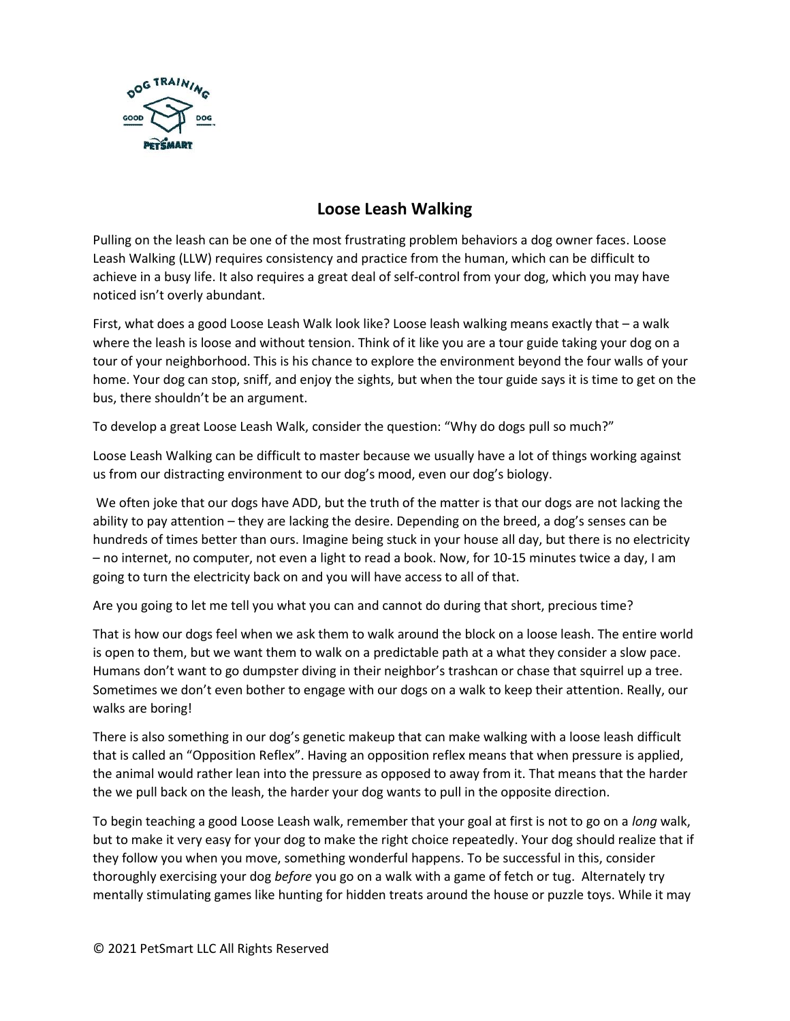

## **Loose Leash Walking**

Pulling on the leash can be one of the most frustrating problem behaviors a dog owner faces. Loose Leash Walking (LLW) requires consistency and practice from the human, which can be difficult to achieve in a busy life. It also requires a great deal of self-control from your dog, which you may have noticed isn't overly abundant.

First, what does a good Loose Leash Walk look like? Loose leash walking means exactly that – a walk where the leash is loose and without tension. Think of it like you are a tour guide taking your dog on a tour of your neighborhood. This is his chance to explore the environment beyond the four walls of your home. Your dog can stop, sniff, and enjoy the sights, but when the tour guide says it is time to get on the bus, there shouldn't be an argument.

To develop a great Loose Leash Walk, consider the question: "Why do dogs pull so much?"

Loose Leash Walking can be difficult to master because we usually have a lot of things working against us from our distracting environment to our dog's mood, even our dog's biology.

We often joke that our dogs have ADD, but the truth of the matter is that our dogs are not lacking the ability to pay attention – they are lacking the desire. Depending on the breed, a dog's senses can be hundreds of times better than ours. Imagine being stuck in your house all day, but there is no electricity – no internet, no computer, not even a light to read a book. Now, for 10-15 minutes twice a day, I am going to turn the electricity back on and you will have access to all of that.

Are you going to let me tell you what you can and cannot do during that short, precious time?

That is how our dogs feel when we ask them to walk around the block on a loose leash. The entire world is open to them, but we want them to walk on a predictable path at a what they consider a slow pace. Humans don't want to go dumpster diving in their neighbor's trashcan or chase that squirrel up a tree. Sometimes we don't even bother to engage with our dogs on a walk to keep their attention. Really, our walks are boring!

There is also something in our dog's genetic makeup that can make walking with a loose leash difficult that is called an "Opposition Reflex". Having an opposition reflex means that when pressure is applied, the animal would rather lean into the pressure as opposed to away from it. That means that the harder the we pull back on the leash, the harder your dog wants to pull in the opposite direction.

To begin teaching a good Loose Leash walk, remember that your goal at first is not to go on a *long* walk, but to make it very easy for your dog to make the right choice repeatedly. Your dog should realize that if they follow you when you move, something wonderful happens. To be successful in this, consider thoroughly exercising your dog *before* you go on a walk with a game of fetch or tug. Alternately try mentally stimulating games like hunting for hidden treats around the house or puzzle toys. While it may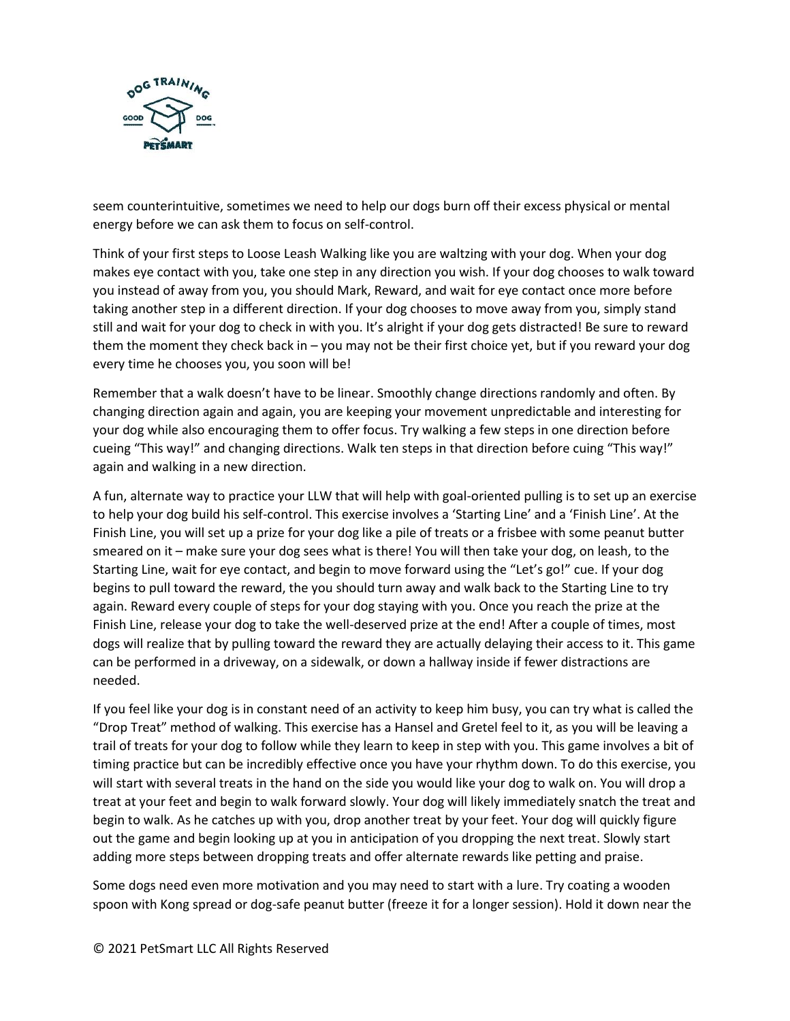

seem counterintuitive, sometimes we need to help our dogs burn off their excess physical or mental energy before we can ask them to focus on self-control.

Think of your first steps to Loose Leash Walking like you are waltzing with your dog. When your dog makes eye contact with you, take one step in any direction you wish. If your dog chooses to walk toward you instead of away from you, you should Mark, Reward, and wait for eye contact once more before taking another step in a different direction. If your dog chooses to move away from you, simply stand still and wait for your dog to check in with you. It's alright if your dog gets distracted! Be sure to reward them the moment they check back in – you may not be their first choice yet, but if you reward your dog every time he chooses you, you soon will be!

Remember that a walk doesn't have to be linear. Smoothly change directions randomly and often. By changing direction again and again, you are keeping your movement unpredictable and interesting for your dog while also encouraging them to offer focus. Try walking a few steps in one direction before cueing "This way!" and changing directions. Walk ten steps in that direction before cuing "This way!" again and walking in a new direction.

A fun, alternate way to practice your LLW that will help with goal-oriented pulling is to set up an exercise to help your dog build his self-control. This exercise involves a 'Starting Line' and a 'Finish Line'. At the Finish Line, you will set up a prize for your dog like a pile of treats or a frisbee with some peanut butter smeared on it – make sure your dog sees what is there! You will then take your dog, on leash, to the Starting Line, wait for eye contact, and begin to move forward using the "Let's go!" cue. If your dog begins to pull toward the reward, the you should turn away and walk back to the Starting Line to try again. Reward every couple of steps for your dog staying with you. Once you reach the prize at the Finish Line, release your dog to take the well-deserved prize at the end! After a couple of times, most dogs will realize that by pulling toward the reward they are actually delaying their access to it. This game can be performed in a driveway, on a sidewalk, or down a hallway inside if fewer distractions are needed.

If you feel like your dog is in constant need of an activity to keep him busy, you can try what is called the "Drop Treat" method of walking. This exercise has a Hansel and Gretel feel to it, as you will be leaving a trail of treats for your dog to follow while they learn to keep in step with you. This game involves a bit of timing practice but can be incredibly effective once you have your rhythm down. To do this exercise, you will start with several treats in the hand on the side you would like your dog to walk on. You will drop a treat at your feet and begin to walk forward slowly. Your dog will likely immediately snatch the treat and begin to walk. As he catches up with you, drop another treat by your feet. Your dog will quickly figure out the game and begin looking up at you in anticipation of you dropping the next treat. Slowly start adding more steps between dropping treats and offer alternate rewards like petting and praise.

Some dogs need even more motivation and you may need to start with a lure. Try coating a wooden spoon with Kong spread or dog-safe peanut butter (freeze it for a longer session). Hold it down near the